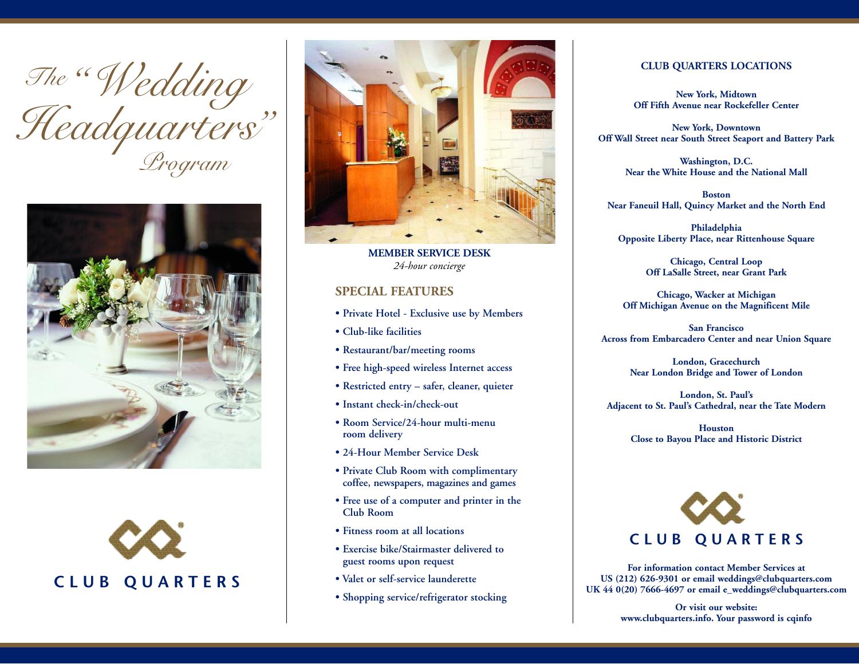







**MEMBER SERVICE DESK***24-hour concierge*

## **SPECIAL FEATURES**

- **Private Hotel Exclusive use by Members**
- **Club-like facilities**
- **Restaurant/bar/meeting rooms**
- **Free high-speed wireless Internet access**
- **Restricted entry safer, cleaner, quieter**
- **Instant check-in/check-out**
- **Room Service/24-hour multi-menu room delivery**
- **24-Hour Member Service Desk**
- **Private Club Room with complimentary coffee, newspapers, magazines and games**
- **Free use of a computer and printer in the Club Room**
- **Fitness room at all locations**
- **Exercise bike/Stairmaster delivered to guest rooms upon request**
- **Valet or self-service launderette**
- **Shopping service/refrigerator stocking**

#### **CLUB QUARTERS LOCATIONS**

**New York, Midtown Off Fifth Avenue near Rockefeller Center**

**New York, Downtown Off Wall Street near South Street Seaport and Battery Park**

> **Washington, D.C. Near the White House and the National Mall**

**BostonNear Faneuil Hall, Quincy Market and the North End**

**Philadelphia Opposite Liberty Place, near Rittenhouse Square**

> **Chicago, Central Loop Off LaSalle Street, near Grant Park**

**Chicago, Wacker at Michigan Off Michigan Avenue on the Magnificent Mile**

**San FranciscoAcross from Embarcadero Center and near Union Square**

> **London, Gracechurch Near London Bridge and Tower of London**

**London, St. Paul's Adjacent to St. Paul's Cathedral, near the Tate Modern**

> **HoustonClose to Bayou Place and Historic District**



**For information contact Member Services at US (212) 626-9301 or email weddings@clubquarters.com UK 44 0(20) 7666-4697 or email e\_weddings@clubquarters.com**

> **Or visit our website: www.clubquarters.info. Your password is cqinfo**